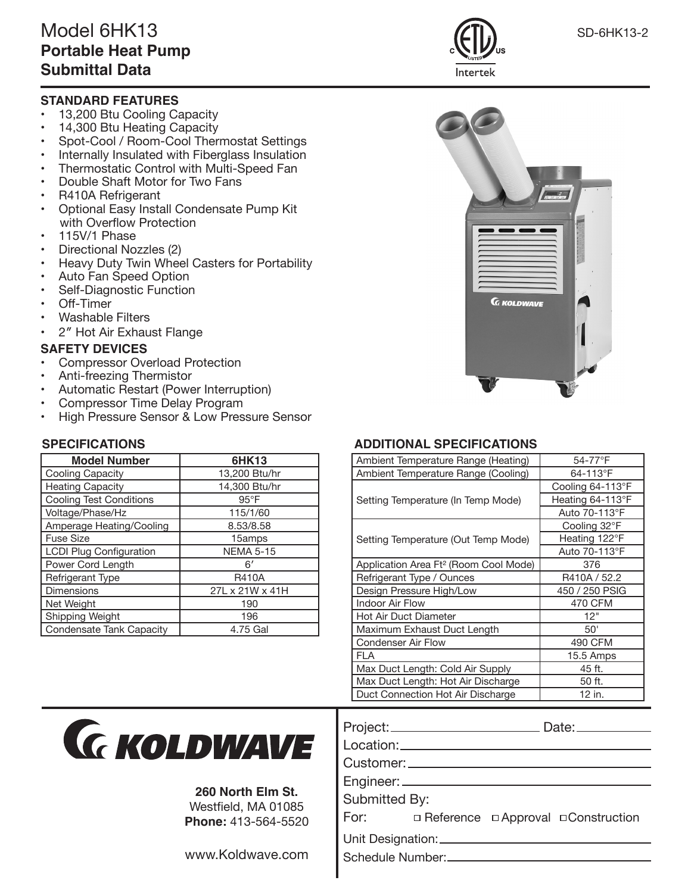### **STANDARD FEATURES**

- 13,200 Btu Cooling Capacity
- 14,300 Btu Heating Capacity
- Spot-Cool / Room-Cool Thermostat Settings
- Internally Insulated with Fiberglass Insulation
- Thermostatic Control with Multi-Speed Fan
- Double Shaft Motor for Two Fans
- R410A Refrigerant
- Optional Easy Install Condensate Pump Kit with Overflow Protection
- 115V/1 Phase
- Directional Nozzles (2)
- Heavy Duty Twin Wheel Casters for Portability
- Auto Fan Speed Option
- Self-Diagnostic Function
- Off-Timer
- Washable Filters
- 2″ Hot Air Exhaust Flange

#### **SAFETY DEVICES**

- Compressor Overload Protection
- Anti-freezing Thermistor
- Automatic Restart (Power Interruption)
- Compressor Time Delay Program
- High Pressure Sensor & Low Pressure Sensor

| <b>Model Number</b>            | 6HK13            |
|--------------------------------|------------------|
| Cooling Capacity               | 13,200 Btu/hr    |
| <b>Heating Capacity</b>        | 14,300 Btu/hr    |
| Cooling Test Conditions        | $95^{\circ}$ F   |
| Voltage/Phase/Hz               | 115/1/60         |
| Amperage Heating/Cooling       | 8.53/8.58        |
| Fuse Size                      | 15amps           |
| <b>LCDI Plug Configuration</b> | <b>NEMA 5-15</b> |
| Power Cord Length              | 6'               |
| Refrigerant Type               | <b>R410A</b>     |
| Dimensions                     | 27L x 21W x 41H  |
| Net Weight                     | 190              |
| Shipping Weight                | 196              |
| Condensate Tank Capacity       | 4.75 Gal         |

Intertek

# **SPECIFICATIONS ADDITIONAL SPECIFICATIONS**

| Ambient Temperature Range (Heating)               | 54-77°F          |
|---------------------------------------------------|------------------|
| Ambient Temperature Range (Cooling)               | 64-113°F         |
|                                                   | Cooling 64-113°F |
| Setting Temperature (In Temp Mode)                | Heating 64-113°F |
|                                                   | Auto 70-113°F    |
| Setting Temperature (Out Temp Mode)               | Cooling 32°F     |
|                                                   | Heating 122°F    |
|                                                   | Auto 70-113°F    |
| Application Area Ft <sup>2</sup> (Room Cool Mode) | 376              |
| Refrigerant Type / Ounces                         | R410A / 52.2     |
| Design Pressure High/Low                          | 450 / 250 PSIG   |
| <b>Indoor Air Flow</b>                            | 470 CFM          |
| Hot Air Duct Diameter                             | 12"              |
| Maximum Exhaust Duct Length                       | 50'              |
| <b>Condenser Air Flow</b>                         | 490 CFM          |
| FI A                                              | 15.5 Amps        |
| Max Duct Length: Cold Air Supply                  | 45 ft.           |
| Max Duct Length: Hot Air Discharge                | 50 ft.           |
| Duct Connection Hot Air Discharge                 | 12 in.           |



## **260 North Elm St.**

Westfield, MA 01085 **Phone:** 413-564-5520

www.Koldwave.com

| Design Pressure High/Low           | 450 / 250 PSIG |
|------------------------------------|----------------|
| <b>Indoor Air Flow</b>             | 470 CFM        |
| <b>Hot Air Duct Diameter</b>       | 12"            |
| Maximum Exhaust Duct Length        | 50'            |
| <b>Condenser Air Flow</b>          | 490 CFM        |
| FLA                                | 15.5 Amps      |
| Max Duct Length: Cold Air Supply   | 45 ft.         |
| Max Duct Length: Hot Air Discharge | 50 ft.         |
| Duct Connection Hot Air Discharge  | 12 in.         |
| Project:_                          | Date:_         |
| Location:_                         |                |
| Customer: _                        |                |
| Engineer: _                        |                |

Submitted By:

| □ Reference □ Approval □ Construction |
|---------------------------------------|
|                                       |

Unit Designation:

Schedule Number:

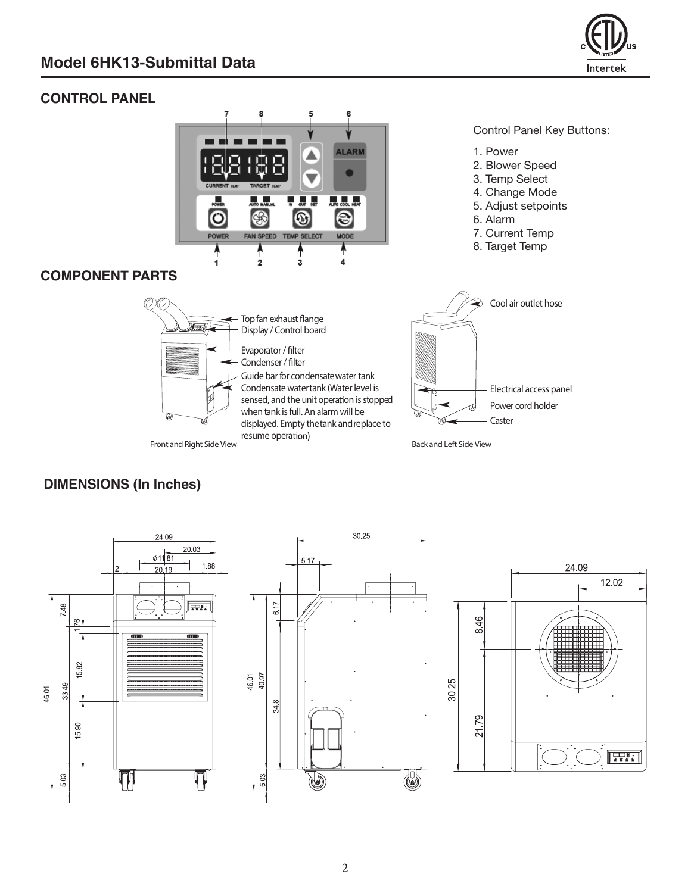

# **CONTROL PANEL**



#### Control Panel Key Buttons:

- 1. Power
- 2. Blower Speed
- 3. Temp Select
- 4. Change Mode
- 5. Adjust setpoints
- 6. Alarm
- 7. Current Temp
- 8. Target Temp

## **COMPONENT PARTS**



# **DIMENSIONS (In Inches)**

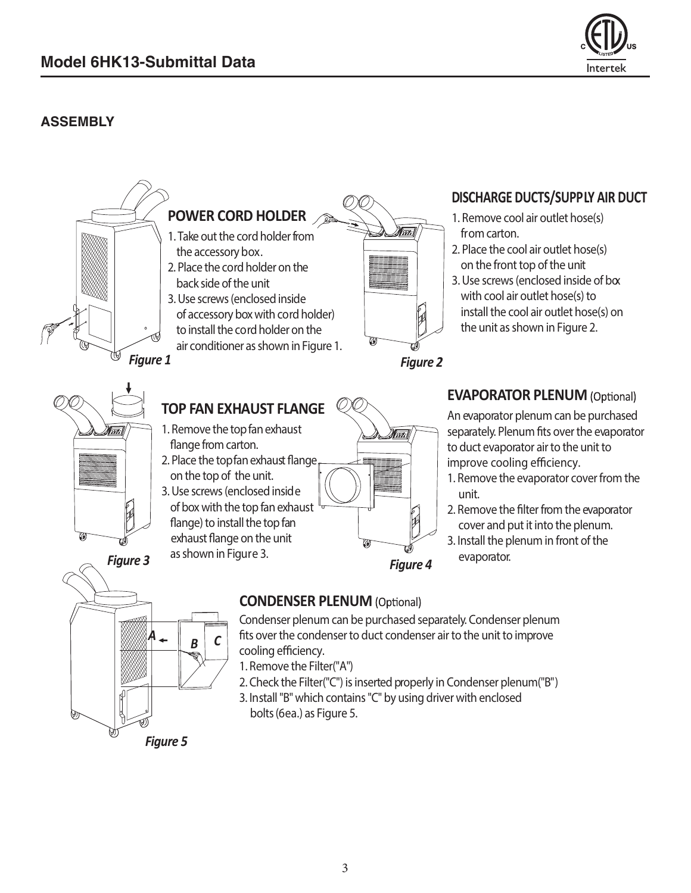

# **ASSEMBLY**